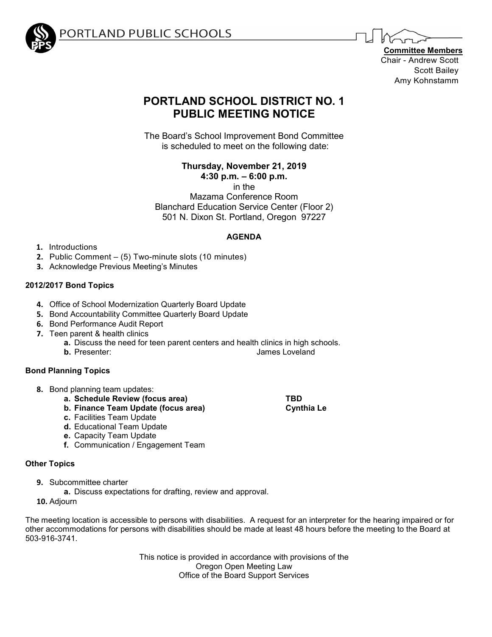

ORTLAND PUBLIC SCHOOLS

**Committee Members** Chair - Andrew Scott Scott Bailey Amy Kohnstamm

# **PORTLAND SCHOOL DISTRICT NO. 1 PUBLIC MEETING NOTICE**

The Board's School Improvement Bond Committee is scheduled to meet on the following date:

**Thursday, November 21, 2019**

**4:30 p.m. – 6:00 p.m.**

in the

Mazama Conference Room Blanchard Education Service Center (Floor 2) 501 N. Dixon St. Portland, Oregon 97227

# **AGENDA**

- **1.** Introductions
- **2.** Public Comment (5) Two-minute slots (10 minutes)
- **3.** Acknowledge Previous Meeting's Minutes

# **2012/2017 Bond Topics**

- **4.** Office of School Modernization Quarterly Board Update
- **5.** Bond Accountability Committee Quarterly Board Update
- **6.** Bond Performance Audit Report
- **7.** Teen parent & health clinics
	- **a.** Discuss the need for teen parent centers and health clinics in high schools.<br>**b.** Presenter: **b.** lames I oveland
		-

# **Bond Planning Topics**

- **8.** Bond planning team updates:
	- **a. Schedule Review (focus area) TBD**
	- **b.** Finance Team Update (focus area)
	- **c.** Facilities Team Update
	- **d.** Educational Team Update
	- **e.** Capacity Team Update
	- **f.** Communication / Engagement Team

# **Other Topics**

- **9.** Subcommittee charter
	- **a.** Discuss expectations for drafting, review and approval.
- **10.** Adjourn

The meeting location is accessible to persons with disabilities. A request for an interpreter for the hearing impaired or for other accommodations for persons with disabilities should be made at least 48 hours before the meeting to the Board at 503-916-3741.

> This notice is provided in accordance with provisions of the Oregon Open Meeting Law Office of the Board Support Services

**James Loveland**